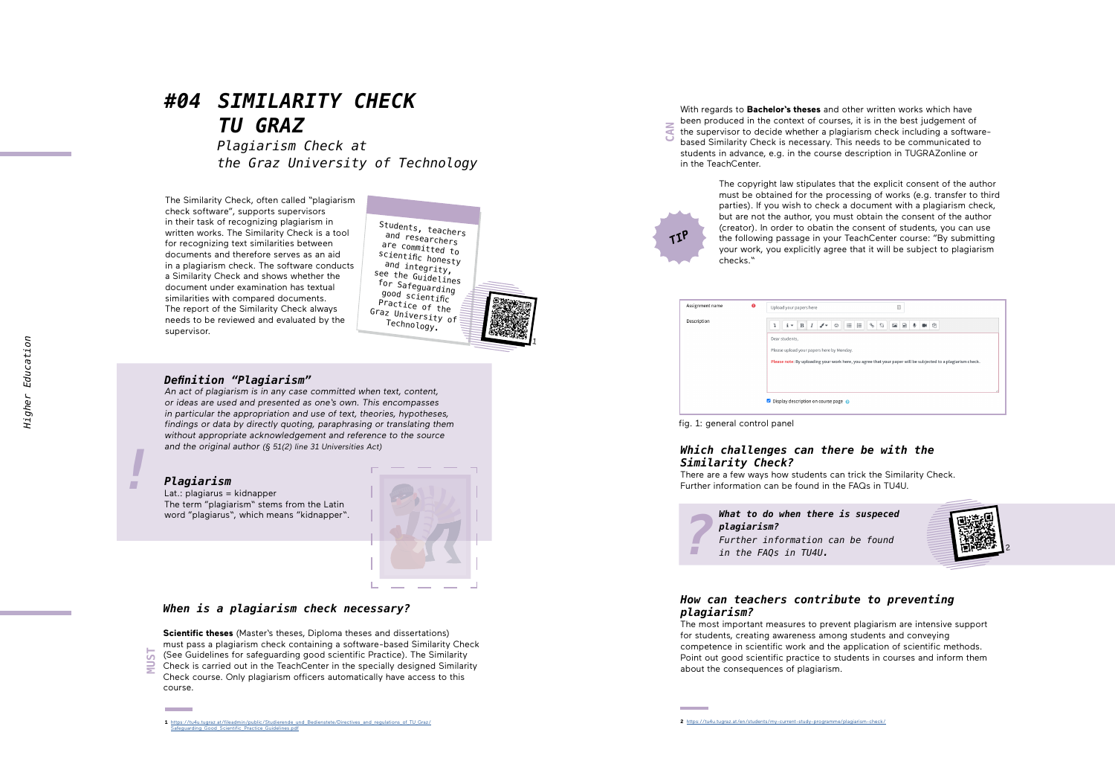# *#04 SIMILARITY CHECK TU GRAZ*

*Plagiarism Check at the Graz University of Technology*

The Similarity Check, often called "plagiarism check software", supports supervisors in their task of recognizing plagiarism in written works. The Similarity Check is a tool for recognizing text similarities between documents and therefore serves as an aid in a plagiarism check. The software conducts a Similarity Check and shows whether the document under examination has textual similarities with compared documents. The report of the Similarity Check always needs to be reviewed and evaluated by the supervisor.

Students, teachers<br>
and researchers<br>
are committed to<br>
scientific honesty<br>
see the Guidelines<br>
for Safeguarding<br>
good scientific<br>
Practice of the<br>
Graz University of<br>
Technology.

1

# *Definition "Plagiarism"*

An act of plagiarism is in any case committed when text, content, or ideas are used and presented as one's own. This encompasses in particular the appropriation and use of text, theories, hypotheses, findings or data by directly quoting, paraphrasing or translating them without appropriate acknowledgement and reference to the source and the original author (§ 51(2) line 31 Universities Act)



# *Plagiarism*

Lat.: plagiarus = kidnapper The term "plagiarism" stems from the Latin word "plagiarus", which means "kidnapper".



### *When is a plagiarism check necessary?*

**Scientific theses** (Master's theses, Diploma theses and dissertations) must pass a plagiarism check containing a software-based Similarity Check (See Guidelines for safeguarding good scientific Practice). The Similarity Check is carried out in the TeachCenter in the specially designed Similarity Check course. Only plagiarism officers automatically have access to this course.  $\overline{M}$ 

With regards to **Bachelor's theses** and other written works which have been produced in the context of courses, it is in the best judgement of the supervisor to decide whether a plagiarism check including a softwarebased Similarity Check is necessary. This needs to be communicated to students in advance, e.g. in the course description in TUGRAZonline or in the TeachCenter. **CAN**

> The copyright law stipulates that the explicit consent of the author must be obtained for the processing of works (e.g. transfer to third parties). If you wish to check a document with a plagiarism check, but are not the author, you must obtain the consent of the author (creator). In order to obatin the consent of students, you can use the following passage in your TeachCenter course: "By submitting your work, you explicitly agree that it will be subject to plagiarism checks."

| Assignment name | $\bullet$ | $\begin{bmatrix} \frac{1}{n} \end{bmatrix}$<br>Upload your papers here                                                                                                               |
|-----------------|-----------|--------------------------------------------------------------------------------------------------------------------------------------------------------------------------------------|
| Description     |           | $\mathcal{S}$<br>$\mathfrak{S}^-$<br>$_{\odot}$<br>$\equiv$<br>$\overline{\mathbf{B}}$<br>$\equiv$<br><b>EA</b><br>$R$ $Q$<br>$\mathbf{B}$<br>$i \cdot$<br>$\mathcal{L}$ .<br>⊕<br>I |
|                 |           | Dear students,                                                                                                                                                                       |
|                 |           | Please upload your papers here by Monday.                                                                                                                                            |
|                 |           | Please note: By uploading your work here, you agree that your paper will be subjected to a plagiarism check.                                                                         |
|                 |           |                                                                                                                                                                                      |
|                 |           |                                                                                                                                                                                      |
|                 |           | Display description on course page @                                                                                                                                                 |
|                 |           |                                                                                                                                                                                      |

fig. 1: general control panel

*TIP*

### *Which challenges can there be with the Similarity Check?*

There are a few ways how students can trick the Similarity Check. Further information can be found in the FAQs in TU4U.

*What to do when there is suspeced plagiarism? Further information can be found in the FAQs in TU4U.*



## *How can teachers contribute to preventing plagiarism?*

The most important measures to prevent plagiarism are intensive support for students, creating awareness among students and conveying competence in scientific work and the application of scientific methods. Point out good scientific practice to students in courses and inform them **Plagiarism?**<br> **Plagiarism?**<br>
Further information can<br>
in the FAQs in TU4U.<br> **How can teachers contribing plagiarism?**<br>
The most important measures to preve for students, creating awareness amon competence in scientific wo

**<sup>1</sup>** [https://tu4u.tugraz.at/fileadmin/public/Studierende\\_und\\_Bedienstete/Directives\\_and\\_regulations\\_of\\_TU\\_Graz/](https://tu4u.tugraz.at/fileadmin/public/Studierende_und_Bedienstete/Directives_and_regulations_of_TU) od Scientific\_Practice Guidelines.pdf